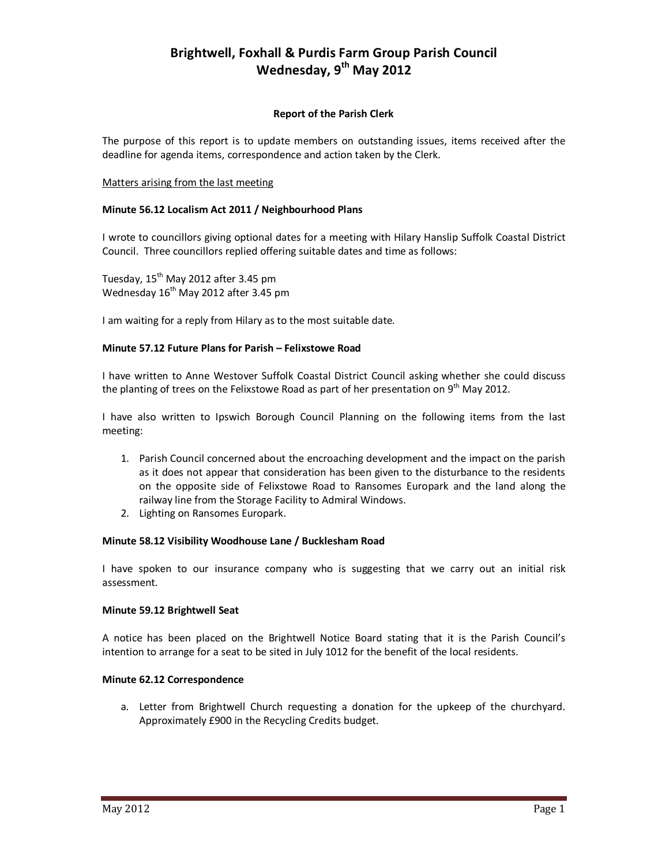# **Brightwell, Foxhall & Purdis Farm Group Parish Council Wednesday, 9th May 2012**

# **Report of the Parish Clerk**

The purpose of this report is to update members on outstanding issues, items received after the deadline for agenda items, correspondence and action taken by the Clerk.

#### Matters arising from the last meeting

# **Minute 56.12 Localism Act 2011 / Neighbourhood Plans**

I wrote to councillors giving optional dates for a meeting with Hilary Hanslip Suffolk Coastal District Council. Three councillors replied offering suitable dates and time as follows:

Tuesday,  $15^{th}$  May 2012 after 3.45 pm Wednesday  $16<sup>th</sup>$  May 2012 after 3.45 pm

I am waiting for a reply from Hilary as to the most suitable date.

# **Minute 57.12 Future Plans for Parish – Felixstowe Road**

I have written to Anne Westover Suffolk Coastal District Council asking whether she could discuss the planting of trees on the Felixstowe Road as part of her presentation on 9<sup>th</sup> May 2012.

I have also written to Ipswich Borough Council Planning on the following items from the last meeting:

- 1. Parish Council concerned about the encroaching development and the impact on the parish as it does not appear that consideration has been given to the disturbance to the residents on the opposite side of Felixstowe Road to Ransomes Europark and the land along the railway line from the Storage Facility to Admiral Windows.
- 2. Lighting on Ransomes Europark.

#### **Minute 58.12 Visibility Woodhouse Lane / Bucklesham Road**

I have spoken to our insurance company who is suggesting that we carry out an initial risk assessment.

#### **Minute 59.12 Brightwell Seat**

A notice has been placed on the Brightwell Notice Board stating that it is the Parish Council's intention to arrange for a seat to be sited in July 1012 for the benefit of the local residents.

# **Minute 62.12 Correspondence**

a. Letter from Brightwell Church requesting a donation for the upkeep of the churchyard. Approximately £900 in the Recycling Credits budget.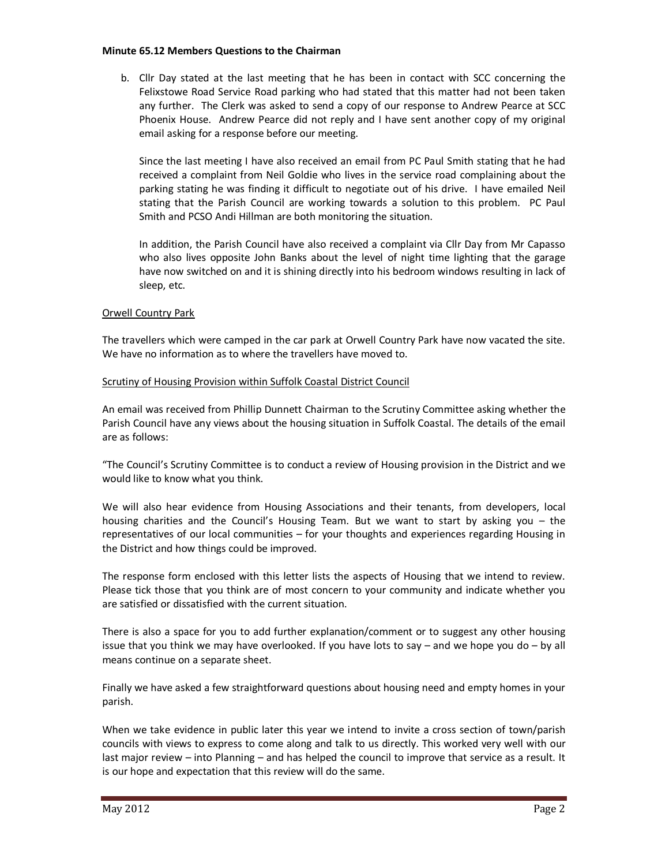#### **Minute 65.12 Members Questions to the Chairman**

b. Cllr Day stated at the last meeting that he has been in contact with SCC concerning the Felixstowe Road Service Road parking who had stated that this matter had not been taken any further. The Clerk was asked to send a copy of our response to Andrew Pearce at SCC Phoenix House. Andrew Pearce did not reply and I have sent another copy of my original email asking for a response before our meeting.

Since the last meeting I have also received an email from PC Paul Smith stating that he had received a complaint from Neil Goldie who lives in the service road complaining about the parking stating he was finding it difficult to negotiate out of his drive. I have emailed Neil stating that the Parish Council are working towards a solution to this problem. PC Paul Smith and PCSO Andi Hillman are both monitoring the situation.

In addition, the Parish Council have also received a complaint via Cllr Day from Mr Capasso who also lives opposite John Banks about the level of night time lighting that the garage have now switched on and it is shining directly into his bedroom windows resulting in lack of sleep, etc.

#### Orwell Country Park

The travellers which were camped in the car park at Orwell Country Park have now vacated the site. We have no information as to where the travellers have moved to.

#### Scrutiny of Housing Provision within Suffolk Coastal District Council

An email was received from Phillip Dunnett Chairman to the Scrutiny Committee asking whether the Parish Council have any views about the housing situation in Suffolk Coastal. The details of the email are as follows:

"The Council's Scrutiny Committee is to conduct a review of Housing provision in the District and we would like to know what you think.

We will also hear evidence from Housing Associations and their tenants, from developers, local housing charities and the Council's Housing Team. But we want to start by asking you – the representatives of our local communities – for your thoughts and experiences regarding Housing in the District and how things could be improved.

The response form enclosed with this letter lists the aspects of Housing that we intend to review. Please tick those that you think are of most concern to your community and indicate whether you are satisfied or dissatisfied with the current situation.

There is also a space for you to add further explanation/comment or to suggest any other housing issue that you think we may have overlooked. If you have lots to say – and we hope you do – by all means continue on a separate sheet.

Finally we have asked a few straightforward questions about housing need and empty homes in your parish.

When we take evidence in public later this year we intend to invite a cross section of town/parish councils with views to express to come along and talk to us directly. This worked very well with our last major review – into Planning – and has helped the council to improve that service as a result. It is our hope and expectation that this review will do the same.